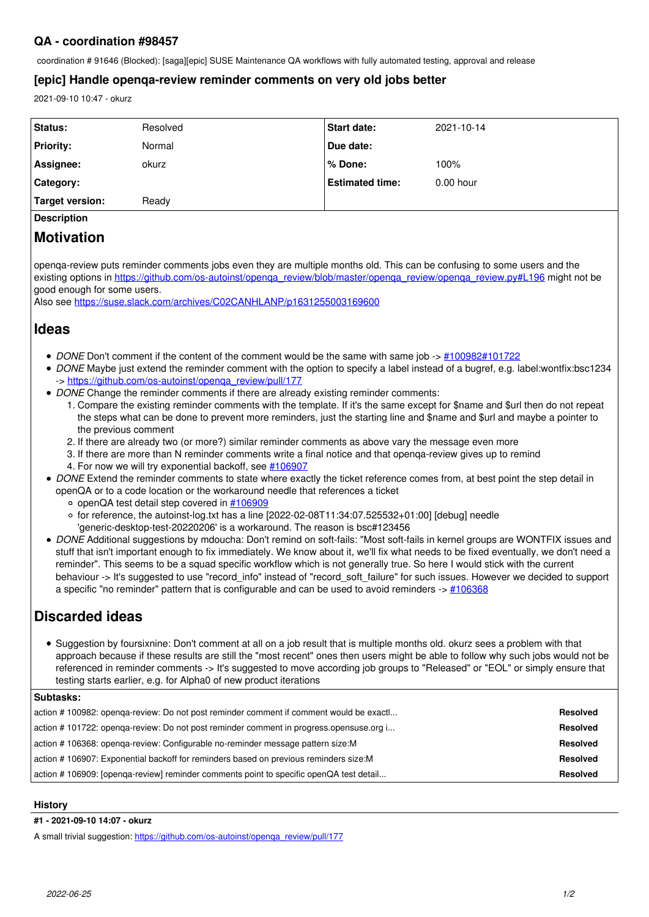## **QA - coordination #98457**

coordination # 91646 (Blocked): [saga][epic] SUSE Maintenance QA workflows with fully automated testing, approval and release

## **[epic] Handle openqa-review reminder comments on very old jobs better**

2021-09-10 10:47 - okurz

| <b>Status:</b>     | Resolved | <b>Start date:</b>     | 2021-10-14  |
|--------------------|----------|------------------------|-------------|
| <b>Priority:</b>   | Normal   | Due date:              |             |
| Assignee:          | okurz    | ∣% Done:               | 100%        |
| Category:          |          | <b>Estimated time:</b> | $0.00$ hour |
| Target version:    | Ready    |                        |             |
| <b>Description</b> |          |                        |             |

# **Motivation**

openqa-review puts reminder comments jobs even they are multiple months old. This can be confusing to some users and the existing options in [https://github.com/os-autoinst/openqa\\_review/blob/master/openqa\\_review/openqa\\_review.py#L196](https://github.com/os-autoinst/openqa_review/blob/master/openqa_review/openqa_review.py#L196) might not be good enough for some users.

Also see<https://suse.slack.com/archives/C02CANHLANP/p1631255003169600>

## **Ideas**

- *DONE* Don't comment if the content of the comment would be the same with same job ->  $\#100982\#101722$  $\#100982\#101722$
- *DONE* Maybe just extend the reminder comment with the option to specify a label instead of a bugref, e.g. label:wontfix:bsc1234 -> https://github.com/os-autoinst/openga\_review/pull/177
- *DONE* Change the reminder comments if there are already existing reminder comments:
	- 1. Compare the existing reminder comments with the template. If it's the same except for \$name and \$url then do not repeat the steps what can be done to prevent more reminders, just the starting line and \$name and \$url and maybe a pointer to the previous comment
	- 2. If there are already two (or more?) similar reminder comments as above vary the message even more
	- 3. If there are more than N reminder comments write a final notice and that openqa-review gives up to remind 4. For now we will try exponential backoff, see [#106907](https://progress.opensuse.org/issues/106907)
- *DONE* Extend the reminder comments to state where exactly the ticket reference comes from, at best point the step detail in openQA or to a code location or the workaround needle that references a ticket
	- o openQA test detail step covered in  $\#106909$
	- $\circ$  for reference, the autoinst-log.txt has a line [2022-02-08T11:34:07.525532+01:00] [debug] needle
	- 'generic-desktop-test-20220206' is a workaround. The reason is bsc#123456
- *DONE* Additional suggestions by mdoucha: Don't remind on soft-fails: "Most soft-fails in kernel groups are WONTFIX issues and stuff that isn't important enough to fix immediately. We know about it, we'll fix what needs to be fixed eventually, we don't need a reminder". This seems to be a squad specific workflow which is not generally true. So here I would stick with the current behaviour -> It's suggested to use "record\_info" instead of "record\_soft\_failure" for such issues. However we decided to support a specific "no reminder" pattern that is configurable and can be used to avoid reminders  $\rightarrow \frac{\#106368}{4}$

# **Discarded ideas**

Suggestion by foursixnine: Don't comment at all on a job result that is multiple months old. okurz sees a problem with that approach because if these results are still the "most recent" ones then users might be able to follow why such jobs would not be referenced in reminder comments -> It's suggested to move according job groups to "Released" or "EOL" or simply ensure that testing starts earlier, e.g. for Alpha0 of new product iterations

## **Subtasks:**

| action #100982: openga-review: Do not post reminder comment if comment would be exact  | <b>Resolved</b> |
|----------------------------------------------------------------------------------------|-----------------|
| action #101722: openga-review: Do not post reminder comment in progress opensuse org i | <b>Resolved</b> |
| action #106368: openga-review: Configurable no-reminder message pattern size: M        | <b>Resolved</b> |
| action #106907: Exponential backoff for reminders based on previous reminders size: M  | <b>Resolved</b> |
| action #106909: [openga-review] reminder comments point to specific openQA test detail | <b>Resolved</b> |

## **History**

#### **#1 - 2021-09-10 14:07 - okurz**

A small trivial suggestion: [https://github.com/os-autoinst/openqa\\_review/pull/177](https://github.com/os-autoinst/openqa_review/pull/177)